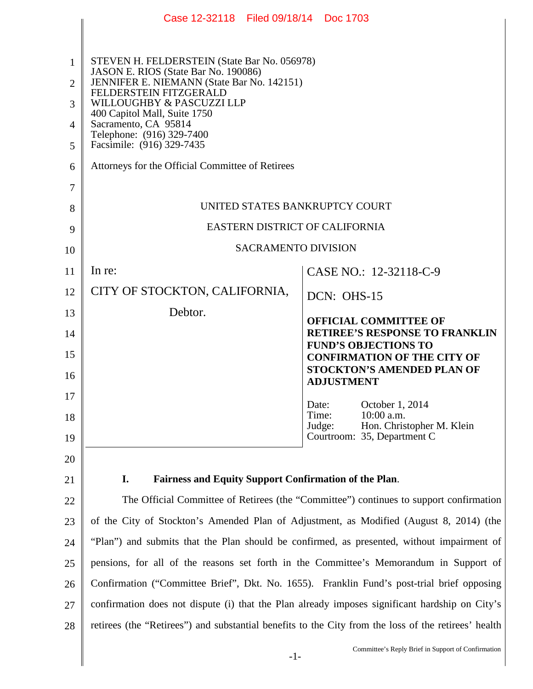|                | Case 12-32118 Filed 09/18/14 Doc 1703                                                                |                                                                      |
|----------------|------------------------------------------------------------------------------------------------------|----------------------------------------------------------------------|
|                |                                                                                                      |                                                                      |
| 1              | STEVEN H. FELDERSTEIN (State Bar No. 056978)                                                         |                                                                      |
| $\overline{2}$ | JASON E. RIOS (State Bar No. 190086)<br>JENNIFER E. NIEMANN (State Bar No. 142151)                   |                                                                      |
| 3              | FELDERSTEIN FITZGERALD<br>WILLOUGHBY & PASCUZZI LLP                                                  |                                                                      |
| $\overline{4}$ | 400 Capitol Mall, Suite 1750<br>Sacramento, CA 95814                                                 |                                                                      |
| 5              | Telephone: (916) 329-7400<br>Facsimile: (916) 329-7435                                               |                                                                      |
| 6              | Attorneys for the Official Committee of Retirees                                                     |                                                                      |
| 7              |                                                                                                      |                                                                      |
| 8              | UNITED STATES BANKRUPTCY COURT                                                                       |                                                                      |
| 9              | EASTERN DISTRICT OF CALIFORNIA                                                                       |                                                                      |
| 10             | <b>SACRAMENTO DIVISION</b>                                                                           |                                                                      |
| 11             | In re:                                                                                               | CASE NO.: 12-32118-C-9                                               |
| 12             | CITY OF STOCKTON, CALIFORNIA,                                                                        | $DCN: OHS-15$                                                        |
| 13             | Debtor.                                                                                              | <b>OFFICIAL COMMITTEE OF</b>                                         |
| 14             |                                                                                                      | <b>RETIREE'S RESPONSE TO FRANKLIN</b><br><b>FUND'S OBJECTIONS TO</b> |
| 15             |                                                                                                      | <b>CONFIRMATION OF THE CITY OF</b>                                   |
| 16             |                                                                                                      | <b>STOCKTON'S AMENDED PLAN OF</b><br><b>ADJUSTMENT</b>               |
| 17             |                                                                                                      | October 1, 2014<br>Date:                                             |
| 18             |                                                                                                      | 10:00 a.m.<br>Time:<br>Hon. Christopher M. Klein<br>Judge:           |
| 19             |                                                                                                      | Courtroom: 35, Department C                                          |
| 20             |                                                                                                      |                                                                      |
| 21             | I.<br><b>Fairness and Equity Support Confirmation of the Plan.</b>                                   |                                                                      |
| 22             | The Official Committee of Retirees (the "Committee") continues to support confirmation               |                                                                      |
| 23             | of the City of Stockton's Amended Plan of Adjustment, as Modified (August 8, 2014) (the              |                                                                      |
| 24             | "Plan") and submits that the Plan should be confirmed, as presented, without impairment of           |                                                                      |
| 25             | pensions, for all of the reasons set forth in the Committee's Memorandum in Support of               |                                                                      |
| 26             | Confirmation ("Committee Brief", Dkt. No. 1655). Franklin Fund's post-trial brief opposing           |                                                                      |
| 27             | confirmation does not dispute (i) that the Plan already imposes significant hardship on City's       |                                                                      |
| 28             | retirees (the "Retirees") and substantial benefits to the City from the loss of the retirees' health |                                                                      |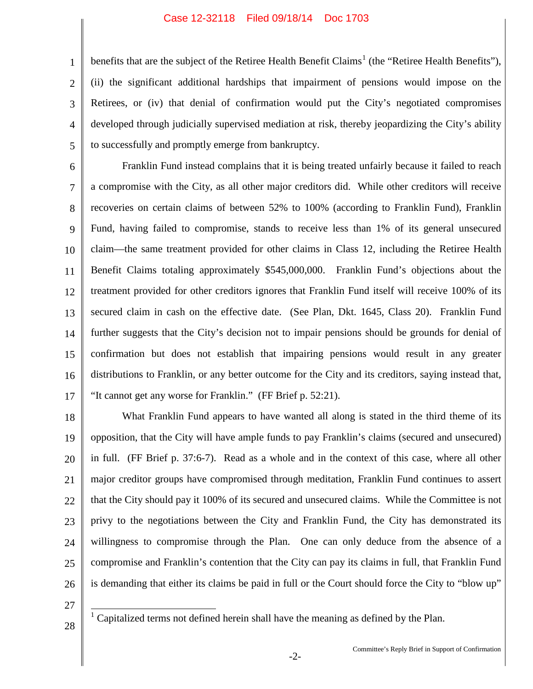4 benefits that are the subject of the Retiree Health Benefit Claims<sup>1</sup> (the "Retiree Health Benefits"), (ii) the significant additional hardships that impairment of pensions would impose on the Retirees, or (iv) that denial of confirmation would put the City's negotiated compromises developed through judicially supervised mediation at risk, thereby jeopardizing the City's ability to successfully and promptly emerge from bankruptcy.

6 7 8 9 10 11 12 13 14 15 16 17 Franklin Fund instead complains that it is being treated unfairly because it failed to reach a compromise with the City, as all other major creditors did. While other creditors will receive recoveries on certain claims of between 52% to 100% (according to Franklin Fund), Franklin Fund, having failed to compromise, stands to receive less than 1% of its general unsecured claim—the same treatment provided for other claims in Class 12, including the Retiree Health Benefit Claims totaling approximately \$545,000,000. Franklin Fund's objections about the treatment provided for other creditors ignores that Franklin Fund itself will receive 100% of its secured claim in cash on the effective date. (See Plan, Dkt. 1645, Class 20). Franklin Fund further suggests that the City's decision not to impair pensions should be grounds for denial of confirmation but does not establish that impairing pensions would result in any greater distributions to Franklin, or any better outcome for the City and its creditors, saying instead that, "It cannot get any worse for Franklin." (FF Brief p. 52:21).

18 19 20 21 22 23 24 25 26 What Franklin Fund appears to have wanted all along is stated in the third theme of its opposition, that the City will have ample funds to pay Franklin's claims (secured and unsecured) in full. (FF Brief p. 37:6-7). Read as a whole and in the context of this case, where all other major creditor groups have compromised through meditation, Franklin Fund continues to assert that the City should pay it 100% of its secured and unsecured claims. While the Committee is not privy to the negotiations between the City and Franklin Fund, the City has demonstrated its willingness to compromise through the Plan. One can only deduce from the absence of a compromise and Franklin's contention that the City can pay its claims in full, that Franklin Fund is demanding that either its claims be paid in full or the Court should force the City to "blow up"

27

1

2

3

5

28

<sup>1</sup> Capitalized terms not defined herein shall have the meaning as defined by the Plan.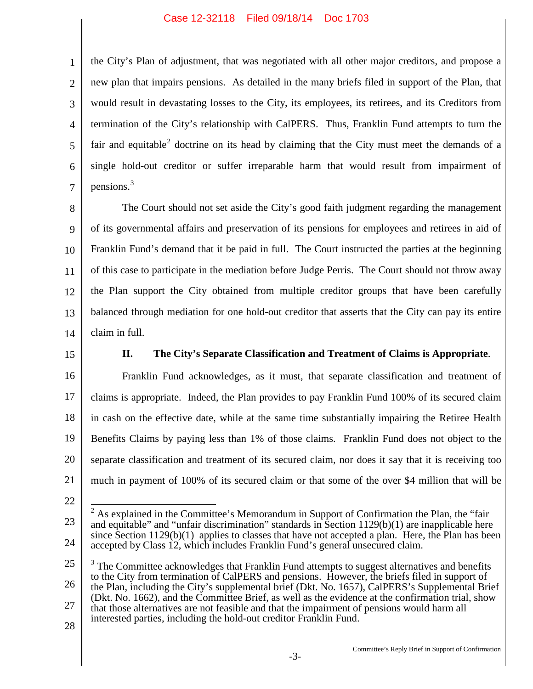the City's Plan of adjustment, that was negotiated with all other major creditors, and propose a new plan that impairs pensions. As detailed in the many briefs filed in support of the Plan, that would result in devastating losses to the City, its employees, its retirees, and its Creditors from termination of the City's relationship with CalPERS. Thus, Franklin Fund attempts to turn the fair and equitable<sup>2</sup> doctrine on its head by claiming that the City must meet the demands of a single hold-out creditor or suffer irreparable harm that would result from impairment of pensions. 3

8 9 10 11 12 13 14 The Court should not set aside the City's good faith judgment regarding the management of its governmental affairs and preservation of its pensions for employees and retirees in aid of Franklin Fund's demand that it be paid in full. The Court instructed the parties at the beginning of this case to participate in the mediation before Judge Perris. The Court should not throw away the Plan support the City obtained from multiple creditor groups that have been carefully balanced through mediation for one hold-out creditor that asserts that the City can pay its entire claim in full.

15

1

2

3

4

5

6

7

## **II. The City's Separate Classification and Treatment of Claims is Appropriate**.

16 17 18 19 20 21 Franklin Fund acknowledges, as it must, that separate classification and treatment of claims is appropriate. Indeed, the Plan provides to pay Franklin Fund 100% of its secured claim in cash on the effective date, while at the same time substantially impairing the Retiree Health Benefits Claims by paying less than 1% of those claims. Franklin Fund does not object to the separate classification and treatment of its secured claim, nor does it say that it is receiving too much in payment of 100% of its secured claim or that some of the over \$4 million that will be

22

28

<sup>23</sup> 24  $2$  As explained in the Committee's Memorandum in Support of Confirmation the Plan, the "fair" and equitable" and "unfair discrimination" standards in Section 1129(b)(1) are inapplicable here since Section  $1129(b)(1)$  applies to classes that have not accepted a plan. Here, the Plan has been accepted by Class 12, which includes Franklin Fund's general unsecured claim.

<sup>25</sup> 26 27  $\overline{a}$  $3$  The Committee acknowledges that Franklin Fund attempts to suggest alternatives and benefits to the City from termination of CalPERS and pensions. However, the briefs filed in support of the Plan, including the City's supplemental brief (Dkt. No. 1657), CalPERS's Supplemental Brief (Dkt. No. 1662), and the Committee Brief, as well as the evidence at the confirmation trial, show that those alternatives are not feasible and that the impairment of pensions would harm all interested parties, including the hold-out creditor Franklin Fund.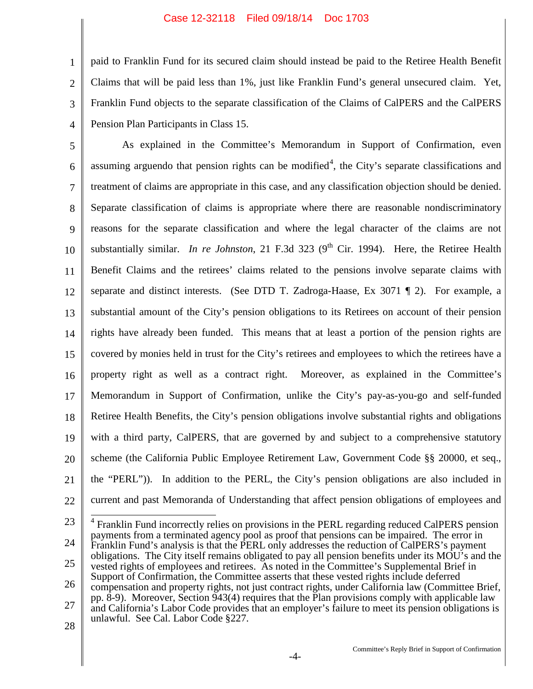1 2 3 4 paid to Franklin Fund for its secured claim should instead be paid to the Retiree Health Benefit Claims that will be paid less than 1%, just like Franklin Fund's general unsecured claim. Yet, Franklin Fund objects to the separate classification of the Claims of CalPERS and the CalPERS Pension Plan Participants in Class 15.

5 6 7 8 9 10 11 12 13 14 15 16 17 18 19 20 21 22 As explained in the Committee's Memorandum in Support of Confirmation, even assuming arguendo that pension rights can be modified<sup>4</sup>, the City's separate classifications and treatment of claims are appropriate in this case, and any classification objection should be denied. Separate classification of claims is appropriate where there are reasonable nondiscriminatory reasons for the separate classification and where the legal character of the claims are not substantially similar. *In re Johnston*, 21 F.3d 323 (9<sup>th</sup> Cir. 1994). Here, the Retiree Health Benefit Claims and the retirees' claims related to the pensions involve separate claims with separate and distinct interests. (See DTD T. Zadroga-Haase, Ex 3071 ¶ 2). For example, a substantial amount of the City's pension obligations to its Retirees on account of their pension rights have already been funded. This means that at least a portion of the pension rights are covered by monies held in trust for the City's retirees and employees to which the retirees have a property right as well as a contract right. Moreover, as explained in the Committee's Memorandum in Support of Confirmation, unlike the City's pay-as-you-go and self-funded Retiree Health Benefits, the City's pension obligations involve substantial rights and obligations with a third party, CalPERS, that are governed by and subject to a comprehensive statutory scheme (the California Public Employee Retirement Law, Government Code §§ 20000, et seq., the "PERL")). In addition to the PERL, the City's pension obligations are also included in current and past Memoranda of Understanding that affect pension obligations of employees and

23 24 25 26 27 <sup>4</sup> Franklin Fund incorrectly relies on provisions in the PERL regarding reduced CalPERS pension payments from a terminated agency pool as proof that pensions can be impaired. The error in Franklin Fund's analysis is that the PERL only addresses the reduction of CalPERS's payment obligations. The City itself remains obligated to pay all pension benefits under its MOU's and the vested rights of employees and retirees. As noted in the Committee's Supplemental Brief in Support of Confirmation, the Committee asserts that these vested rights include deferred compensation and property rights, not just contract rights, under California law (Committee Brief, pp. 8-9). Moreover, Section 943(4) requires that the Plan provisions comply with applicable law and California's Labor Code provides that an employer's failure to meet its pension obligations is unlawful. See Cal. Labor Code §227.

28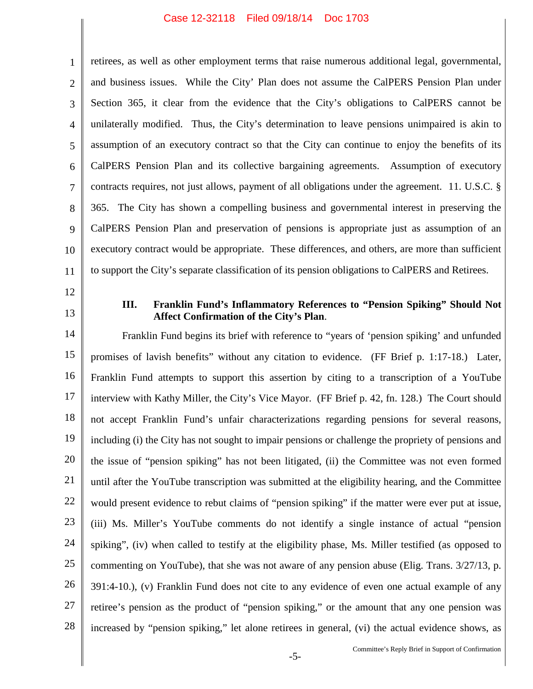1 2 3 4 5 6 7 8 9 10 11 retirees, as well as other employment terms that raise numerous additional legal, governmental, and business issues. While the City' Plan does not assume the CalPERS Pension Plan under Section 365, it clear from the evidence that the City's obligations to CalPERS cannot be unilaterally modified. Thus, the City's determination to leave pensions unimpaired is akin to assumption of an executory contract so that the City can continue to enjoy the benefits of its CalPERS Pension Plan and its collective bargaining agreements. Assumption of executory contracts requires, not just allows, payment of all obligations under the agreement. 11. U.S.C. § 365. The City has shown a compelling business and governmental interest in preserving the CalPERS Pension Plan and preservation of pensions is appropriate just as assumption of an executory contract would be appropriate. These differences, and others, are more than sufficient to support the City's separate classification of its pension obligations to CalPERS and Retirees.

- 12
- 13

## **III. Franklin Fund's Inflammatory References to "Pension Spiking" Should Not Affect Confirmation of the City's Plan**.

14 15 16 17 18 19 20 21 22 23 24 25 26 27 28 Franklin Fund begins its brief with reference to "years of 'pension spiking' and unfunded promises of lavish benefits" without any citation to evidence. (FF Brief p. 1:17-18.) Later, Franklin Fund attempts to support this assertion by citing to a transcription of a YouTube interview with Kathy Miller, the City's Vice Mayor. (FF Brief p. 42, fn. 128.) The Court should not accept Franklin Fund's unfair characterizations regarding pensions for several reasons, including (i) the City has not sought to impair pensions or challenge the propriety of pensions and the issue of "pension spiking" has not been litigated, (ii) the Committee was not even formed until after the YouTube transcription was submitted at the eligibility hearing, and the Committee would present evidence to rebut claims of "pension spiking" if the matter were ever put at issue, (iii) Ms. Miller's YouTube comments do not identify a single instance of actual "pension spiking", (iv) when called to testify at the eligibility phase, Ms. Miller testified (as opposed to commenting on YouTube), that she was not aware of any pension abuse (Elig. Trans. 3/27/13, p. 391:4-10.), (v) Franklin Fund does not cite to any evidence of even one actual example of any retiree's pension as the product of "pension spiking," or the amount that any one pension was increased by "pension spiking," let alone retirees in general, (vi) the actual evidence shows, as